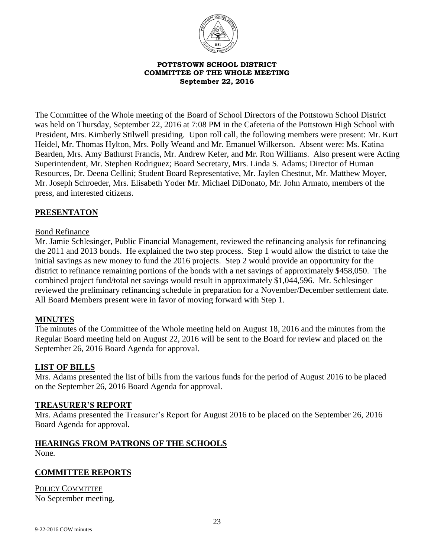

#### **POTTSTOWN SCHOOL DISTRICT COMMITTEE OF THE WHOLE MEETING September 22, 2016**

The Committee of the Whole meeting of the Board of School Directors of the Pottstown School District was held on Thursday, September 22, 2016 at 7:08 PM in the Cafeteria of the Pottstown High School with President, Mrs. Kimberly Stilwell presiding. Upon roll call, the following members were present: Mr. Kurt Heidel, Mr. Thomas Hylton, Mrs. Polly Weand and Mr. Emanuel Wilkerson. Absent were: Ms. Katina Bearden, Mrs. Amy Bathurst Francis, Mr. Andrew Kefer, and Mr. Ron Williams. Also present were Acting Superintendent, Mr. Stephen Rodriguez; Board Secretary, Mrs. Linda S. Adams; Director of Human Resources, Dr. Deena Cellini; Student Board Representative, Mr. Jaylen Chestnut, Mr. Matthew Moyer, Mr. Joseph Schroeder, Mrs. Elisabeth Yoder Mr. Michael DiDonato, Mr. John Armato, members of the press, and interested citizens.

# **PRESENTATON**

### Bond Refinance

Mr. Jamie Schlesinger, Public Financial Management, reviewed the refinancing analysis for refinancing the 2011 and 2013 bonds. He explained the two step process. Step 1 would allow the district to take the initial savings as new money to fund the 2016 projects. Step 2 would provide an opportunity for the district to refinance remaining portions of the bonds with a net savings of approximately \$458,050. The combined project fund/total net savings would result in approximately \$1,044,596. Mr. Schlesinger reviewed the preliminary refinancing schedule in preparation for a November/December settlement date. All Board Members present were in favor of moving forward with Step 1.

### **MINUTES**

The minutes of the Committee of the Whole meeting held on August 18, 2016 and the minutes from the Regular Board meeting held on August 22, 2016 will be sent to the Board for review and placed on the September 26, 2016 Board Agenda for approval.

### **LIST OF BILLS**

Mrs. Adams presented the list of bills from the various funds for the period of August 2016 to be placed on the September 26, 2016 Board Agenda for approval.

### **TREASURER'S REPORT**

Mrs. Adams presented the Treasurer's Report for August 2016 to be placed on the September 26, 2016 Board Agenda for approval.

### **HEARINGS FROM PATRONS OF THE SCHOOLS**

None.

### **COMMITTEE REPORTS**

POLICY COMMITTEE No September meeting.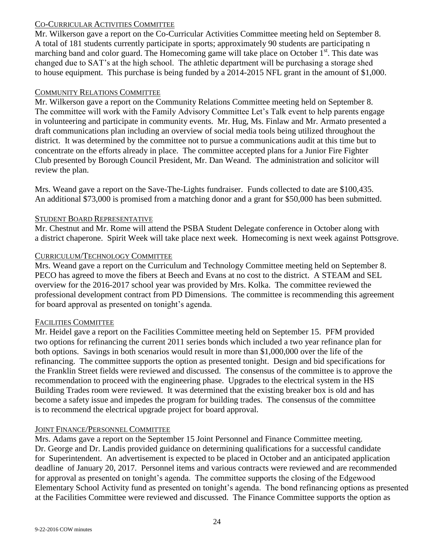# CO-CURRICULAR ACTIVITIES COMMITTEE

Mr. Wilkerson gave a report on the Co-Curricular Activities Committee meeting held on September 8. A total of 181 students currently participate in sports; approximately 90 students are participating n marching band and color guard. The Homecoming game will take place on October  $1<sup>st</sup>$ . This date was changed due to SAT's at the high school. The athletic department will be purchasing a storage shed to house equipment. This purchase is being funded by a 2014-2015 NFL grant in the amount of \$1,000.

### COMMUNITY RELATIONS COMMITTEE

Mr. Wilkerson gave a report on the Community Relations Committee meeting held on September 8. The committee will work with the Family Advisory Committee Let's Talk event to help parents engage in volunteering and participate in community events. Mr. Hug, Ms. Finlaw and Mr. Armato presented a draft communications plan including an overview of social media tools being utilized throughout the district. It was determined by the committee not to pursue a communications audit at this time but to concentrate on the efforts already in place. The committee accepted plans for a Junior Fire Fighter Club presented by Borough Council President, Mr. Dan Weand. The administration and solicitor will review the plan.

Mrs. Weand gave a report on the Save-The-Lights fundraiser. Funds collected to date are \$100,435. An additional \$73,000 is promised from a matching donor and a grant for \$50,000 has been submitted.

### STUDENT BOARD REPRESENTATIVE

Mr. Chestnut and Mr. Rome will attend the PSBA Student Delegate conference in October along with a district chaperone. Spirit Week will take place next week. Homecoming is next week against Pottsgrove.

# CURRICULUM/TECHNOLOGY COMMITTEE

Mrs. Weand gave a report on the Curriculum and Technology Committee meeting held on September 8. PECO has agreed to move the fibers at Beech and Evans at no cost to the district. A STEAM and SEL overview for the 2016-2017 school year was provided by Mrs. Kolka. The committee reviewed the professional development contract from PD Dimensions. The committee is recommending this agreement for board approval as presented on tonight's agenda.

# FACILITIES COMMITTEE

Mr. Heidel gave a report on the Facilities Committee meeting held on September 15. PFM provided two options for refinancing the current 2011 series bonds which included a two year refinance plan for both options. Savings in both scenarios would result in more than \$1,000,000 over the life of the refinancing. The committee supports the option as presented tonight. Design and bid specifications for the Franklin Street fields were reviewed and discussed. The consensus of the committee is to approve the recommendation to proceed with the engineering phase. Upgrades to the electrical system in the HS Building Trades room were reviewed. It was determined that the existing breaker box is old and has become a safety issue and impedes the program for building trades. The consensus of the committee is to recommend the electrical upgrade project for board approval.

# JOINT FINANCE/PERSONNEL COMMITTEE

Mrs. Adams gave a report on the September 15 Joint Personnel and Finance Committee meeting. Dr. George and Dr. Landis provided guidance on determining qualifications for a successful candidate for Superintendent. An advertisement is expected to be placed in October and an anticipated application deadline of January 20, 2017. Personnel items and various contracts were reviewed and are recommended for approval as presented on tonight's agenda. The committee supports the closing of the Edgewood Elementary School Activity fund as presented on tonight's agenda. The bond refinancing options as presented at the Facilities Committee were reviewed and discussed. The Finance Committee supports the option as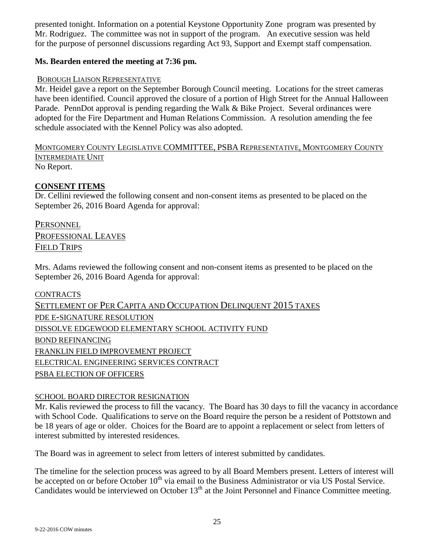presented tonight. Information on a potential Keystone Opportunity Zone program was presented by Mr. Rodriguez. The committee was not in support of the program. An executive session was held for the purpose of personnel discussions regarding Act 93, Support and Exempt staff compensation.

# **Ms. Bearden entered the meeting at 7:36 pm.**

# BOROUGH LIAISON REPRESENTATIVE

Mr. Heidel gave a report on the September Borough Council meeting. Locations for the street cameras have been identified. Council approved the closure of a portion of High Street for the Annual Halloween Parade. PennDot approval is pending regarding the Walk & Bike Project. Several ordinances were adopted for the Fire Department and Human Relations Commission. A resolution amending the fee schedule associated with the Kennel Policy was also adopted.

MONTGOMERY COUNTY LEGISLATIVE COMMITTEE, PSBA REPRESENTATIVE, MONTGOMERY COUNTY INTERMEDIATE UNIT No Report.

# **CONSENT ITEMS**

Dr. Cellini reviewed the following consent and non-consent items as presented to be placed on the September 26, 2016 Board Agenda for approval:

**PERSONNEL** PROFESSIONAL LEAVES FIELD TRIPS

Mrs. Adams reviewed the following consent and non-consent items as presented to be placed on the September 26, 2016 Board Agenda for approval:

**CONTRACTS** SETTLEMENT OF PER CAPITA AND OCCUPATION DELINQUENT 2015 TAXES PDE E-SIGNATURE RESOLUTION DISSOLVE EDGEWOOD ELEMENTARY SCHOOL ACTIVITY FUND BOND REFINANCING FRANKLIN FIELD IMPROVEMENT PROJECT ELECTRICAL ENGINEERING SERVICES CONTRACT PSBA ELECTION OF OFFICERS

### SCHOOL BOARD DIRECTOR RESIGNATION

Mr. Kalis reviewed the process to fill the vacancy. The Board has 30 days to fill the vacancy in accordance with School Code. Qualifications to serve on the Board require the person be a resident of Pottstown and be 18 years of age or older. Choices for the Board are to appoint a replacement or select from letters of interest submitted by interested residences.

The Board was in agreement to select from letters of interest submitted by candidates.

The timeline for the selection process was agreed to by all Board Members present. Letters of interest will be accepted on or before October 10<sup>th</sup> via email to the Business Administrator or via US Postal Service. Candidates would be interviewed on October 13<sup>th</sup> at the Joint Personnel and Finance Committee meeting.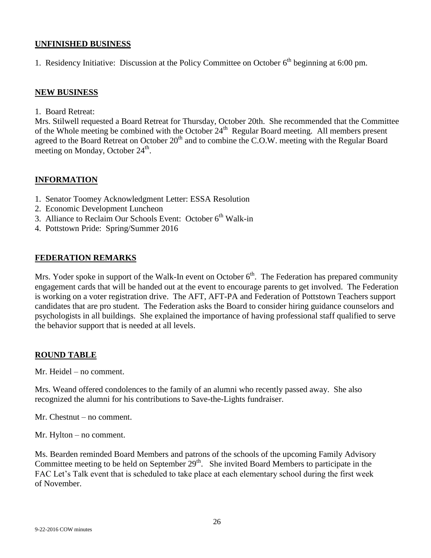### **UNFINISHED BUSINESS**

1. Residency Initiative: Discussion at the Policy Committee on October 6<sup>th</sup> beginning at 6:00 pm.

### **NEW BUSINESS**

1. Board Retreat:

Mrs. Stilwell requested a Board Retreat for Thursday, October 20th. She recommended that the Committee of the Whole meeting be combined with the October  $24<sup>th</sup>$  Regular Board meeting. All members present agreed to the Board Retreat on October 20<sup>th</sup> and to combine the C.O.W. meeting with the Regular Board meeting on Monday, October 24<sup>th</sup>.

# **INFORMATION**

- 1. Senator Toomey Acknowledgment Letter: ESSA Resolution
- 2. Economic Development Luncheon
- 3. Alliance to Reclaim Our Schools Event: October  $6<sup>th</sup>$  Walk-in
- 4. Pottstown Pride: Spring/Summer 2016

# **FEDERATION REMARKS**

Mrs. Yoder spoke in support of the Walk-In event on October  $6<sup>th</sup>$ . The Federation has prepared community engagement cards that will be handed out at the event to encourage parents to get involved. The Federation is working on a voter registration drive. The AFT, AFT-PA and Federation of Pottstown Teachers support candidates that are pro student. The Federation asks the Board to consider hiring guidance counselors and psychologists in all buildings. She explained the importance of having professional staff qualified to serve the behavior support that is needed at all levels.

### **ROUND TABLE**

Mr. Heidel – no comment.

Mrs. Weand offered condolences to the family of an alumni who recently passed away. She also recognized the alumni for his contributions to Save-the-Lights fundraiser.

Mr. Chestnut – no comment.

Mr. Hylton – no comment.

Ms. Bearden reminded Board Members and patrons of the schools of the upcoming Family Advisory Committee meeting to be held on September  $29<sup>th</sup>$ . She invited Board Members to participate in the FAC Let's Talk event that is scheduled to take place at each elementary school during the first week of November.